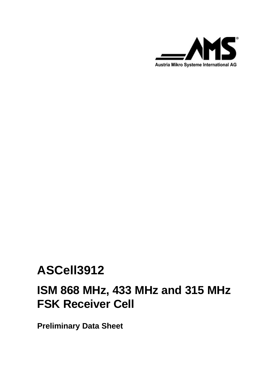

# **ASCell3912**

# **ISM 868 MHz, 433 MHz and 315 MHz FSK Receiver Cell**

**Preliminary Data Sheet**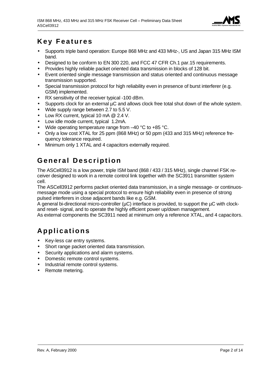

## **Key Features**

- Supports triple band operation: Europe 868 MHz and 433 MHz-, US and Japan 315 MHz ISM band.
- Designed to be conform to EN 300 220, and FCC 47 CFR Ch.1 par.15 requirements.
- Provides highly reliable packet oriented data transmission in blocks of 128 bit.
- Event oriented single message transmission and status oriented and continuous message transmission supported.
- Special transmission protocol for high reliability even in presence of burst interferer (e.g. GSM) implemented.
- RX sensitivity of the receiver typical -100 dBm.
- Supports clock for an external µC and allows clock free total shut down of the whole system.
- Wide supply range between 2.7 to 5.5 V.
- Low RX current, typical 10 mA @ 2.4 V.
- Low idle mode current, typical 1.2mA.
- Wide operating temperature range from -40 °C to +85 °C.
- Only a low cost XTAL for 25 ppm (868 MHz) or 50 ppm (433 and 315 MHz) reference frequency tolerance required.
- Minimum only 1 XTAL and 4 capacitors externally required.

# **General Description**

The ASCell3912 is a low power, triple ISM band (868 / 433 / 315 MHz), single channel FSK receiver designed to work in a remote control link together with the SC3911 transmitter system cell.

The ASCell3912 performs packet oriented data transmission, in a single message- or continuosmessage mode using a special protocol to ensure high reliability even in presence of strong pulsed interferers in close adjacent bands like e.g. GSM.

A general bi-directional micro-controller ( $\mu$ C) interface is provided, to support the  $\mu$ C with clockand reset- signal, and to operate the highly efficient power up/down management.

As external components the SC3911 need at minimum only a reference XTAL, and 4 capacitors.

# **Applications**

- Key-less car entry systems.
- Short range packet oriented data transmission.
- Security applications and alarm systems.
- Domestic remote control systems.
- Industrial remote control systems.
- Remote metering.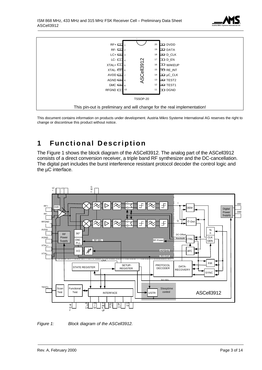



This document contains information on products under development. Austria Mikro Systeme International AG reserves the right to change or discontinue this product without notice.

# **1 Functional Description**

The Figure 1 shows the block diagram of the ASCell3912. The analog part of the ASCell3912 consists of a direct conversion receiver, a triple band RF synthesizer and the DC-cancellation. The digital part includes the burst interference resistant protocol decoder the control logic and the µC interface.



*Figure 1: Block diagram of the ASCell3912.*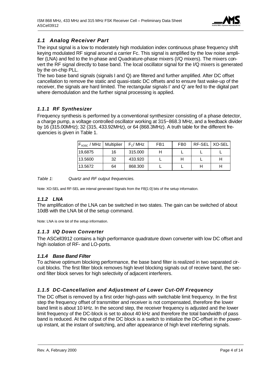

#### *1.1 Analog Receiver Part*

The input signal is a low to moderately high modulation index continuous phase frequency shift keying modulated RF signal around a carrier Fc. This signal is amplified by the low noise amplifier (LNA) and fed to the In-phase and Quadrature-phase mixers (I/Q mixers). The mixers convert the RF signal directly to base band. The local oscillator signal for the I/Q mixers is generated by the on-chip PLL.

The two base band signals (signals I and Q) are filtered and further amplified. After DC offset cancellation to remove the static and quasi-static DC offsets and to ensure fast wake-up of the receiver, the signals are hard limited. The rectangular signals I' and Q' are fed to the digital part where demodulation and the further signal processing is applied.

#### *1.1.1 RF Synthesizer*

Frequency synthesis is performed by a conventional synthesizer consisting of a phase detector, a charge pump, a voltage controlled oscillator working at 315~868.3 MHz, and a feedback divider by 16 (315.00MHz); 32 (315, 433.92MHz), or 64 (868.3MHz). A truth table for the different frequencies is given in Table 1.

| $F_{XOSC}$ / MHz   Multiplier |    | $F_c$ / MHz | FB <sub>1</sub> | FB <sub>0</sub> | RF-SEL   XO-SEL |  |
|-------------------------------|----|-------------|-----------------|-----------------|-----------------|--|
| 19,6875                       | 16 | 315,000     |                 |                 |                 |  |
| 13.5600                       | 32 | 433.920     |                 |                 |                 |  |
| 13.5672                       | 64 | 868,300     |                 |                 |                 |  |

*Table 1: Quartz and RF output frequencies.*

Note: XO-SEL and RF-SEL are intenal generated Signals from the FB[1:0] bits of the setup information.

#### *1.1.2 LNA*

The amplification of the LNA can be switched in two states. The gain can be switched of about 10dB with the LNA bit of the setup command.

Note: LNA is one bit of the setup information.

#### *1.1.3 I/Q Down Converter*

The ASCell3912 contains a high performance quadrature down converter with low DC offset and high isolation of RF- and LO-ports.

#### *1.1.4 Base Band Filter*

To achieve optimum blocking performance, the base band filter is realized in two separated circuit blocks. The first filter block removes high level blocking signals out of receive band, the second filter block serves for high selectivity of adjacent interferers.

#### *1.1.5 DC-Cancellation and Adjustment of Lower Cut-Off Frequency*

The DC offset is removed by a first order high-pass with switchable limit frequency. In the first step the frequency offset of transmitter and receiver is not compensated, therefore the lower band limit is about 10 kHz. In the second step, the receiver frequency is adjusted and the lower limit frequency of the DC-block is set to about 40 kHz and therefore the total bandwidth of pass band is reduced. At the output of the DC block is a switch to initialize the DC-offset in the powerup instant, at the instant of switching, and after appearance of high level interfering signals.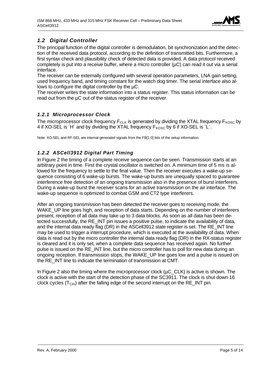

#### *1.2 Digital Controller*

The principal function of the digital controller is demodulation, bit synchronization and the detection of the received data protocol, according to the definition of transmitted bits. Furthermore, a first syntax check and plausibility check of detected data is provided. A data protocol received completely is put into a receive buffer, where a micro controller ( $\mu$ C) can read it out via a serial interface.

The receiver can be externally configured with several operation parameters, LNA gain setting, used frequency band, and timing constant for the watch dog timer. The serial interface also allows to configure the digital controller by the µC.

The receiver writes the state information into a status register. This status information can be read out from the  $\mu$ C out of the status register of the receiver.

#### *1.2.1 Microprocessor Clock*

The microprocessor clock frequency  $F_{CLK}$  is generated by dividing the XTAL frequency  $F_{XOSC}$  by 4 if XO-SEL is  $H'$  and by dividing the XTAL frequency  $F_{XOSC}$  by 6 if XO-SEL is  $L'$ .

Note: XO-SEL and RF-SEL are internal generated signals from the FB[1:0] bits of the setup information.

#### *1.2.2 ASCell3912 Digital Part Timing*

In Figure 2 the timing of a complete receive sequence can be seen. Transmission starts at an arbitrary point in time. First the crystal oscillator is switched on. A minimum time of 5 ms is allowed for the frequency to settle to the final value. Then the receiver executes a wake-up sequence consisting of 6 wake-up bursts. The wake-up bursts are unequally spaced to guarantee interference free detection of an ongoing transmission also in the presence of burst interferers. During a wake-up burst the receiver scans for an active transmission on the air interface. The wake-up sequence is optimized to combat GSM and CT2 type interferers.

After an ongoing transmission has been detected the receiver goes to receiving mode, the WAKE UP line goes high, and reception of data starts. Depending on the number of interferers present, reception of all data may take up to 3 data blocks. As soon as all data has been detected successfully, the RE\_INT pin issues a positive pulse, to indicate the availability of data, and the internal data ready flag (DR) in the ASCell3912 state register is set. The RE\_INT line may be used to trigger a interrupt procedure, which is executed at the availability of data. When data is read out by the micro controller the internal data ready flag (DR) in the RX-status register is cleared and it is only set, when a complete data sequence has received again. No further pulse is issued on the RE\_INT line, but the micro controller has to poll for new data during an ongoing reception. If transmission stops, the WAKE\_UP line goes low and a pulse is issued on the RE\_INT line to indicate the termination of transmission at CMT.

In Figure 2 also the timing where the microprocessor clock ( $\mu$ C\_CLK) is active is shown. The clock is active with the start of the detection phase of the SC3911. The clock is shut down 16 clock cycles  $(T_{CAI})$  after the falling edge of the second interrupt on the RE\_INT pin.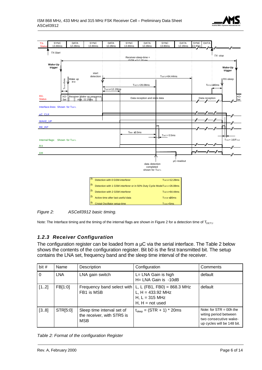



*Figure 2: ASCell3912 basic timing.*

Note: The Interface timing and the timing of the internal flags are shown in Figure 2 for a detection time of  $T_{\text{DET1}}$ .

#### *1.2.3 Receiver Configuration*

The configuration register can be loaded from a  $\mu$ C via the serial interface. The Table 2 below shows the contents of the configuration register. Bit b0 is the first transmitted bit. The setup contains the LNA set, frequency band and the sleep time interval of the receiver.

| bit#     | Name       | Description                                                            | Configuration                                                                                                            | Comments                                                                                                  |
|----------|------------|------------------------------------------------------------------------|--------------------------------------------------------------------------------------------------------------------------|-----------------------------------------------------------------------------------------------------------|
| $\Omega$ | <b>LNA</b> | LNA gain switch                                                        | L= LNA Gain is high<br>H= LNA Gain is -10dB                                                                              | default                                                                                                   |
| [12]     | FB[1:0]    | FB1 is MSB                                                             | Frequency band select with $L, L$ (FB1, FB0) = 868.3 MHz<br>L, $H = 433.92$ MHz<br>$H, L = 315 MHz$<br>$H, H = not used$ | default                                                                                                   |
| [38]     | STR[5:0]   | Sleep time interval set of<br>the receiver, with STR5 is<br><b>MSB</b> | $t_{\text{sleep}} = (STR + 1) * 20ms$                                                                                    | Note: for $STR = 00h$ the<br>witing period between<br>two consecutive wake-<br>up cycles will be 148 bit. |

*Table 2: Format of the configuration Register*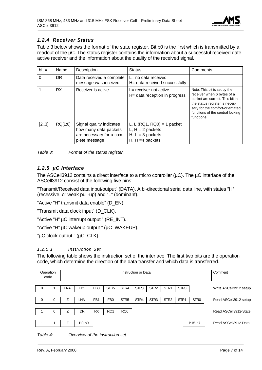

#### *1.2.4 Receiver Status*

Table 3 below shows the format of the state register. Bit b0 is the first which is transmitted by a readout of the µC. The status register contains the information about a successful received date, active receiver and the information about the quality of the received signal.

| bit# | Name      | Description                                                                                    | <b>Status</b>                                                                                  | Comments                                                                                                                                                                                                            |
|------|-----------|------------------------------------------------------------------------------------------------|------------------------------------------------------------------------------------------------|---------------------------------------------------------------------------------------------------------------------------------------------------------------------------------------------------------------------|
| 0    | <b>DR</b> | Data received a complete<br>message was received                                               | L= no data received<br>H= data received successfully                                           |                                                                                                                                                                                                                     |
|      | <b>RX</b> | Receiver is active                                                                             | L= receiver not active<br>H= data reception in progress                                        | Note: This bit is set by the<br>receiver when 6 bytes of a<br>packet are correct. This bit in<br>the status register is neces-<br>sary for the comfort-orientated<br>functions of the central locking<br>functions. |
| [23] | RQ[1:0]   | Signal quality indicates<br>how many data packets<br>are necessary for a com-<br>plete message | L, L $(RQ1, RQ0) = 1$ packet<br>$L, H = 2$ packets<br>$H, L = 3$ packets<br>$H, H = 4$ packets |                                                                                                                                                                                                                     |



#### *1.2.5 µC Interface*

The ASCell3912 contains a direct interface to a micro controller  $(\mu C)$ . The  $\mu C$  interface of the ASCell3912 consist of the following five pins:

"Transmit/Received data input/output" (DATA). A bi-directional serial data line, with states "H" (recessive, or weak pull-up) and "L" (dominant).

"Active "H" transmit data enable" (D\_EN)

"Transmit data clock input" (D\_CLK).

"Active "H" µC interrupt output " (RE\_INT).

"Active "H" µC wakeup output " (µC\_WAKEUP).

"µC clock output " (µC\_CLK).

#### *1.2.5.1 Instruction Set*

The following table shows the instruction set of the interface. The first two bits are the operation code, which determine the direction of the data transfer and which data is transferred.



*Table 4: Overview of the instruction set.*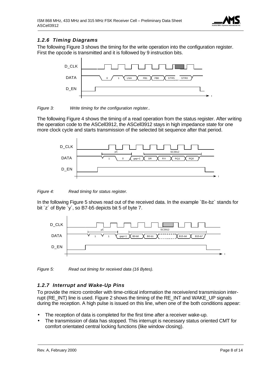

#### *1.2.6 Timing Diagrams*

The following Figure 3 shows the timing for the write operation into the configuration register. First the opcode is transmitted and it is followed by 9 instruction bits.



#### *Figure 3: Write timing for the configuration register..*

The following Figure 4 shows the timing of a read operation from the status register. After writing the operation code to the ASCell3912, the ASCell3912 stays in high impedance state for one more clock cycle and starts transmission of the selected bit sequence after that period.



*Figure 4: Read timing for status register.*

In the following Figure 5 shows read out of the received data. In the example `Bx-bz` stands for bit ´z´ of Byte ´y´, so B7-b5 depicts bit 5 of byte 7.



*Figure 5: Read out timing for received data (16 Bytes).*

#### *1.2.7 Interrupt and Wake-Up Pins*

To provide the micro controller with time-critical information the receive/end transmission interrupt (RE\_INT) line is used. Figure 2 shows the timing of the RE\_INT and WAKE\_UP signals during the reception. A high pulse is issued on this line, when one of the both conditions appear:

- The reception of data is completed for the first time after a receiver wake-up.
- The transmission of data has stopped. This interrupt is necessary status oriented CMT for comfort orientated central locking functions (like window closing).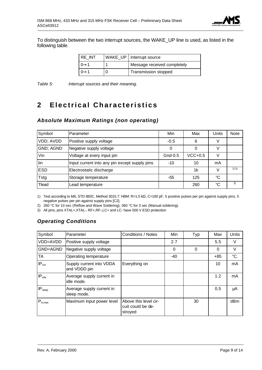

To distinguish between the two interrupt sources, the WAKE\_UP line is used, as listed in the following table.

| RE INT | WAKE UP   Interrupt source  |
|--------|-----------------------------|
|        | Message received completely |
|        | Transmission stopped        |

*Table 5: Interrupt sources and their meaning.*

# **2 Electrical Characteristics**

# *Absolute Maximum Ratings (non operating)*

| Symbol     | Parameter                                     | Min     | Max       | <b>Units</b> | <b>Note</b> |
|------------|-----------------------------------------------|---------|-----------|--------------|-------------|
| VDD; AVDD  | Positive supply voltage                       | $-0.5$  | 6         | V            |             |
| GND; AGND  | Negative supply voltage                       | 0       | 0         | V            |             |
| Vin        | Voltage at every input pin                    | Gnd-0.5 | $VCC+0.5$ |              |             |
| lin        | Input current into any pin except supply pins | $-10$   | 10        | mA           |             |
| <b>ESD</b> | Electrostatic discharge                       |         | 1k        | V            | 1) 3)       |
| Tstg       | Storage temperature                           | -55     | 125       | °C           |             |
| Tlead      | Lead temperature                              |         | 260       | °C           | 2)          |

1) Test according to MIL STD 883C, Method 3015.7: HBM: R=1.5 kΩ, C=100 pF, 5 positive pulses per pin against supply pins, 5 negative pulses per pin against supply pins [C2].

2) 260 °C for 10 sec (Reflow and Wave Soldering), 360 °C for 3 sec (Manual soldering).

3) All pins, pins XTAL+,XTAL-, RF+,RF-,LC+ and LC- have 500 V ESD protection

#### *Operating Conditions*

| Symbol              | Parameter                                | Conditions / Notes                                    | Min | Typ      | Max   | <b>Units</b> |
|---------------------|------------------------------------------|-------------------------------------------------------|-----|----------|-------|--------------|
| VDD=AVDD            | Positive supply voltage                  |                                                       | 2.7 |          | 5.5   | V            |
| GND=AGND            | Negative supply voltage                  |                                                       | 0   | $\Omega$ | 0     | V            |
| TA                  | Operating temperature                    |                                                       | -40 |          | $+85$ | °C.          |
| $IP_{run}$          | Supply current into VDDA<br>and VDDD pin | Everything on                                         |     |          | 10    | mA           |
| $IP_{idle}$         | Average supply current in<br>idle mode.  |                                                       |     |          | 1.2   | mA           |
| IP <sub>sleep</sub> | Average supply current in<br>sleep mode. |                                                       |     |          | 0,5   | μA           |
| $P_{in,max}$        | Maximum input power level                | Above this level cir-<br>cuit could be de-<br>stroved |     | 30       |       | dBm          |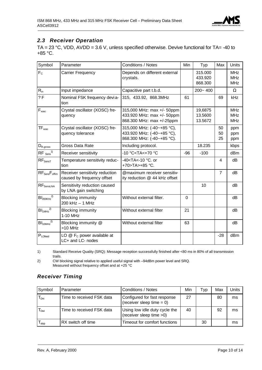

#### *2.3 Receiver Operation*

TA = 23 °C, VDD, AVDD = 3.6 V, unless specified otherwise. Devive functional for TA= -40 to +85 °C.

| Symbol                 | Parameter                                                     | Conditions / Notes                                                                                            | Min      | Typ                           | Max            | Units                                  |
|------------------------|---------------------------------------------------------------|---------------------------------------------------------------------------------------------------------------|----------|-------------------------------|----------------|----------------------------------------|
| F <sub>c</sub>         | Carrier Frequency                                             | Depends on different external<br>crystals.                                                                    |          | 315.000<br>433.920<br>868.300 |                | <b>MHz</b><br><b>MHz</b><br><b>MHz</b> |
| $R_{in}$               | Input impedance                                               | Capacitive part t.b.d.                                                                                        |          | $200 - 400$                   |                | $\Omega$                               |
| ?F                     | Nominal FSK frequency devi a-<br>tion                         | 315, 433.92, 868.3MHz                                                                                         | 61       |                               | 69             | kHz                                    |
| $F_{xosc}$             | Crystal oscillator (XOSC) fre-<br>quency                      | 315,000 MHz: max +/- 50ppm<br>433.920 MHz: max +/- 50ppm<br>868.300 MHz: max +/-25ppm                         |          | 19,6875<br>13.5600<br>13.5672 |                | <b>MHz</b><br><b>MHz</b><br><b>MHz</b> |
| $TF_{xose}$            | Crystal oscillator (XOSC) fre-<br>quency tolerance            | 315,000 MHz: (-40~+85 °C),<br>433.920 MHz: (-40~+85 °C),<br>868.300 MHz: (-40~+85 °C).                        |          |                               | 50<br>50<br>25 | ppm<br>ppm<br>ppm                      |
| $D_{\rm R, gross}$     | Gross Data Rate                                               | Including protocol.                                                                                           |          | 18.235                        |                | kbps                                   |
| $RF$ $\sin^{-1}$       | Receiver sensitivity                                          | -10 °C <ta<+70 td="" °c<=""><td><math>-96</math></td><td><math>-100</math></td><td></td><td>dBm</td></ta<+70> | $-96$    | $-100$                        |                | dBm                                    |
| $RF_{SensT}$           | Temperature sensitivity reduc-<br>tion                        | -40 <ta<-10 or<br="" °c.="">+70&gt;TA&gt;+85 °C.</ta<-10>                                                     |          |                               | 4              | dB                                     |
| $RF_{Sens}F_{offim}$   | Receiver sensitivity reduction<br>caused by frequency offset  | @maximum receiver sensitiv-<br>ity reduction @ 44 kHz offset                                                  |          |                               | $\overline{7}$ | dB                                     |
| $RF_{SensLNA}$         | Sensitivity reduction caused<br>by LNA gain switching         |                                                                                                               |          | 10                            |                | dB                                     |
| $Bl_{200KHz}^{2)}$     | <b>Blocking immunity</b><br>200 kHz - 1 MHz                   | Without external filter.                                                                                      | $\Omega$ |                               |                | dB                                     |
| $BI1MHz$ <sup>2)</sup> | <b>Blocking immunity</b><br>1-10 MHz                          | Without external filter                                                                                       | 21       |                               |                | dB                                     |
| $BI_{10MHz}^{2)}$      | Blocking immunity @<br>$>10$ MHz                              | Without external filter                                                                                       | 63       |                               |                | dB                                     |
| $P_{LOfeed}$           | LO $@$ F <sub>c</sub> power available at<br>LC+ and LC- nodes |                                                                                                               |          |                               | $-28$          | dBm                                    |

1) Standard Receive Quality (SRQ): Message reception successfully finished after <80 ms in 80% of all transmission trails.

2) CW blocking signal relative to applied useful signal with –94dBm power level and SRQ. Measured without frequency offset and at +25 °C

#### *Receiver Timing*

| Symbol           | Parameter                 | Conditions / Notes                                           | Min | Tvp | Max | Units |
|------------------|---------------------------|--------------------------------------------------------------|-----|-----|-----|-------|
| T <sub>Dni</sub> | Time to received FSK data | Configured for fast response<br>(receiver sleep time $= 0$ ) | 27  |     | 80  | ms    |
| Г <sub>Dwi</sub> | Time to received FSK data | Using low idle duty cycle the<br>(receiver sleep time >0)    | 40  |     | 92  | ms    |
| stop             | RX switch off time        | Timeout for comfort functions                                |     | 30  |     | ms    |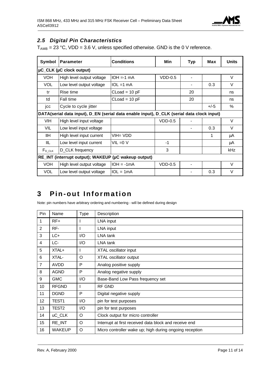

#### *2.5 Digital Pin Characteristics*

 $T_{AMB}$  = 23 °C, VDD = 3.6 V, unless specified otherwise. GND is the 0 V reference.

| Symbol                                               | Parameter                                                                                 | <b>Conditions</b> | Min       | Typ | Max    | <b>Units</b> |  |  |  |
|------------------------------------------------------|-------------------------------------------------------------------------------------------|-------------------|-----------|-----|--------|--------------|--|--|--|
|                                                      | µC_CLK (µC clock output)                                                                  |                   |           |     |        |              |  |  |  |
| <b>VOH</b>                                           | High level output voltage                                                                 | $IOH = -1 mA$     | $VDD-0.5$ |     |        | V            |  |  |  |
| <b>VOL</b>                                           | Low level output voltage                                                                  | $IOL = 1 mA$      |           |     | 0.3    | $\vee$       |  |  |  |
| tr                                                   | Rise time                                                                                 | CLoad = 10 pF     |           | 20  |        | ns           |  |  |  |
| td                                                   | Fall time                                                                                 | $Cload = 10 pF$   |           | 20  |        | ns           |  |  |  |
| jcc                                                  | Cycle to cycle jitter                                                                     |                   |           |     | $+/-5$ | %            |  |  |  |
|                                                      | DATA(serial data input), D_EN (serial data enable input), D_CLK (serial data clock input) |                   |           |     |        |              |  |  |  |
| VIH                                                  | High level input voltage                                                                  |                   | $VDD-0.5$ |     |        | $\vee$       |  |  |  |
| VIL                                                  | Low level input voltage                                                                   |                   |           |     | 0.3    | $\vee$       |  |  |  |
| IIH.                                                 | High level input current                                                                  | VIH= VDD          |           |     | 1      | μA           |  |  |  |
| IIL                                                  | Low level input current                                                                   | $VIL = 0 V$       | $-1$      |     |        | μA           |  |  |  |
| $F_{D\_CLK}$                                         | D_CLK frequency                                                                           |                   | 3         |     |        | kHz          |  |  |  |
| RE_INT (interrupt output); WAKEUP (µC wakeup output) |                                                                                           |                   |           |     |        |              |  |  |  |
| <b>VOH</b>                                           | High level output voltage                                                                 | $IOH = -1mA$      | $VDD-0.5$ |     |        | $\vee$       |  |  |  |
| <b>VOL</b>                                           | Low level output voltage                                                                  | $IIOL = 1mA$      |           |     | 0.3    | V            |  |  |  |

### **3 Pin-out Information**

Note: pin numbers have arbitrary ordering and numbering - will be defined during design

| Pin            | Name              | Type | Description                                             |
|----------------|-------------------|------|---------------------------------------------------------|
| 1              | RF+               |      | LNA input                                               |
| $\overline{2}$ | RF-               |      | LNA input                                               |
| 3              | $LC+$             | I/O  | LNA tank                                                |
| 4              | LC-               | I/O  | LNA tank                                                |
| 5              | XTAL+             |      | XTAL oscillator input                                   |
| 6              | XTAL-             | O    | XTAL oscillator output                                  |
| $\overline{7}$ | AVDD              | P    | Analog positive supply                                  |
| 8              | <b>AGND</b>       | P    | Analog negative supply                                  |
| 9              | <b>GMC</b>        | 1/O  | Base-Band Low Pass frequency set                        |
| 10             | <b>RFGND</b>      |      | RF GND                                                  |
| 11             | <b>DGND</b>       | P    | Digital negative supply                                 |
| 12             | TEST <sub>1</sub> | 1/O  | pin for test purposes                                   |
| 13             | TEST2             | 1/O  | pin for test purposes                                   |
| 14             | uC_CLK            | O    | Clock output for micro controller                       |
| 15             | RE_INT            | O    | Interrupt at first received data block and receive end  |
| 16             | WAKEUP            | O    | Micro controller wake up; high during ongoing reception |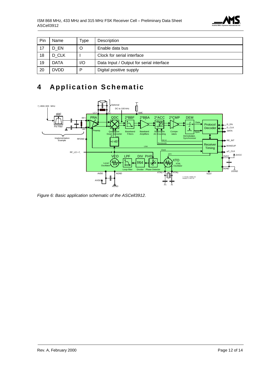

| Pin | Name        | Type | Description                              |
|-----|-------------|------|------------------------------------------|
|     | D EN        |      | Enable data bus                          |
| 18  | D CLK       |      | Clock for serial interface               |
| 19  | <b>DATA</b> | I/O  | Data Input / Output for serial interface |
| 20  | <b>DVDD</b> | D    | Digital positive supply                  |

# **4 Application Schematic**



*Figure 6: Basic application schematic of the ASCell3912.*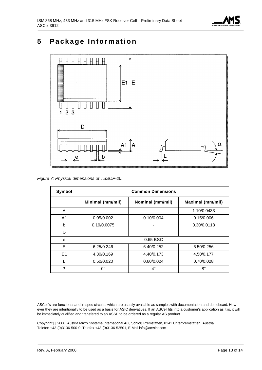

## **5 Package Information**



*Figure 7: Physical dimensions of TSSOP-20.*

| Symbol         | <b>Common Dimensions</b> |                  |                         |  |  |  |
|----------------|--------------------------|------------------|-------------------------|--|--|--|
|                | Minimal (mm/mil)         | Nominal (mm/mil) | <b>Maximal (mm/mil)</b> |  |  |  |
| A              |                          |                  | 1.10/0.0433             |  |  |  |
| A <sub>1</sub> | 0.05/0.002               | 0.10/0.004       | 0.15/0.006              |  |  |  |
| b              | 0.19/0.0075              |                  | 0.30/0.0118             |  |  |  |
| D              |                          |                  |                         |  |  |  |
| e              |                          | 0.65 BSC         |                         |  |  |  |
| E              | 6.25/0.246               | 6.40/0.252       | 6.50/0.256              |  |  |  |
| E1             | 4.30/0.169               | 4.40/0.173       | 4.50/0.177              |  |  |  |
|                | 0.50/0.020               | 0.60/0.024       | 0.70/0.028              |  |  |  |
| 2              | 0°                       | $4^\circ$        | $8^{\circ}$             |  |  |  |

ASCell's are functional and in-spec circuits, which are usually available as samples with documentation and demoboard. How ever they are intentionally to be used as a basis for ASIC derivatives. If an ASCell fits into a customer's application as it is, it will be immediately qualified and transfered to an ASSP to be ordered as a regular AS product.

Copyright 2000, Austria Mikro Systeme International AG, Schloß Premstätten, 8141 Unterpremstätten, Austria. Telefon +43-(0)3136-500-0, Telefax +43-(0)3136-52501, E-Mail info@amsint.com